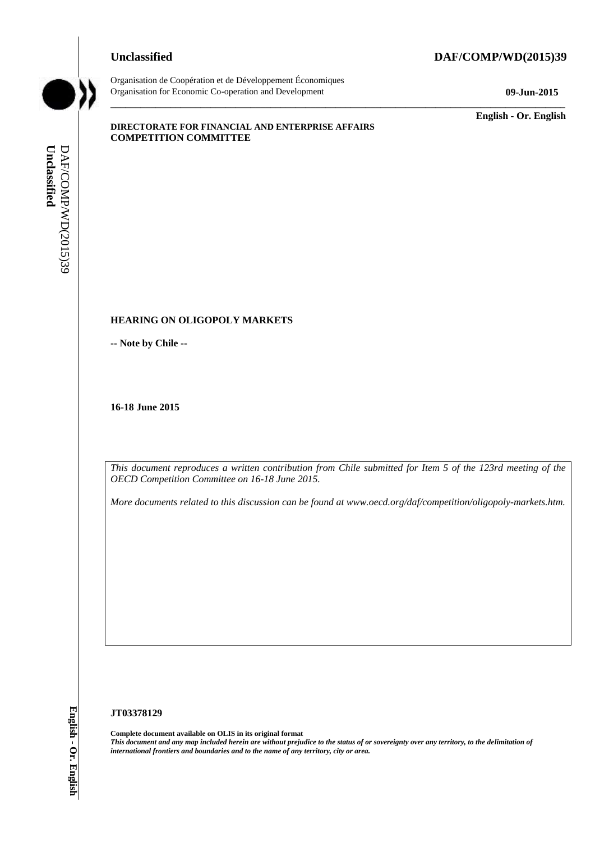#### **Unclassified DAF/COMP/WD(2015)39**



Organisation de Coopération et de Développement Économiques Organisation for Economic Co-operation and Development **09-Jun-2015**

\_\_\_\_\_\_\_\_\_\_\_\_\_ **English - Or. English**

#### **DIRECTORATE FOR FINANCIAL AND ENTERPRISE AFFAIRS COMPETITION COMMITTEE**

#### **HEARING ON OLIGOPOLY MARKETS**

**-- Note by Chile --**

**16-18 June 2015**

*This document reproduces a written contribution from Chile submitted for Item 5 of the 123rd meeting of the OECD Competition Committee on 16-18 June 2015.* 

 $\_$  ,  $\_$  ,  $\_$  ,  $\_$  ,  $\_$  ,  $\_$  ,  $\_$  ,  $\_$  ,  $\_$  ,  $\_$  ,  $\_$  ,  $\_$  ,  $\_$  ,  $\_$  ,  $\_$  ,  $\_$  ,  $\_$  ,  $\_$  ,  $\_$  ,  $\_$  ,  $\_$  ,  $\_$  ,  $\_$  ,  $\_$  ,  $\_$  ,  $\_$  ,  $\_$  ,  $\_$  ,  $\_$  ,  $\_$  ,  $\_$  ,  $\_$  ,  $\_$  ,  $\_$  ,  $\_$  ,  $\_$  ,  $\_$  ,

*More documents related to this discussion can be found at www.oecd.org/daf/competition/oligopoly-markets.htm.*

#### **JT03378129**

**Complete document available on OLIS in its original format** *This document and any map included herein are without prejudice to the status of or sovereignty over any territory, to the delimitation of*  **if**  $\frac{1}{2}$  **HEARING ON OLIGOPOLY MARKETS**<br> **iii**  $\frac{1}{2}$  HEARING ON OLIGOPOLY MARKETS<br> **iii**  $\frac{1}{2}$  Heat by Chile --<br> **16-18 June 2015**<br> **If the name of any territory, computers and to this discussion can be found a**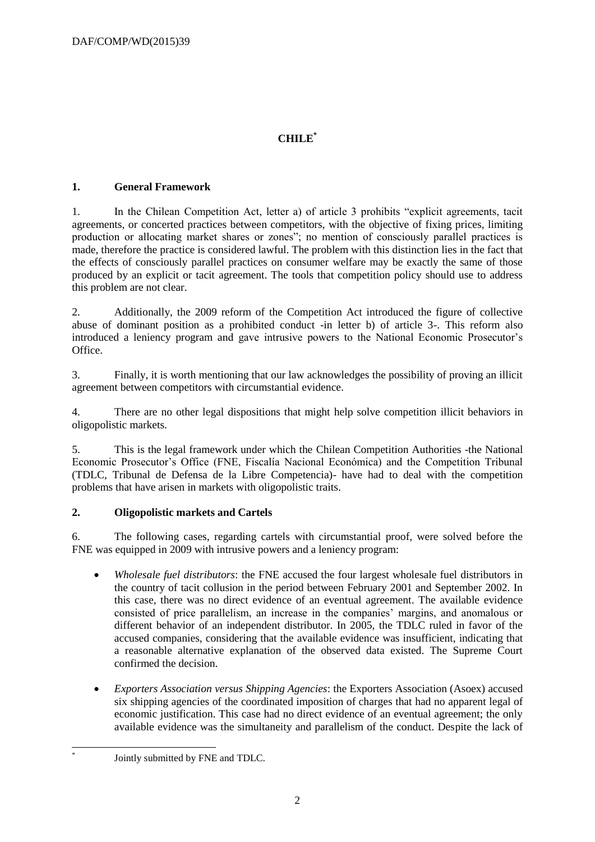# **CHILE\***

## **1. General Framework**

1. In the Chilean Competition Act, letter a) of article 3 prohibits "explicit agreements, tacit agreements, or concerted practices between competitors, with the objective of fixing prices, limiting production or allocating market shares or zones"; no mention of consciously parallel practices is made, therefore the practice is considered lawful. The problem with this distinction lies in the fact that the effects of consciously parallel practices on consumer welfare may be exactly the same of those produced by an explicit or tacit agreement. The tools that competition policy should use to address this problem are not clear.

2. Additionally, the 2009 reform of the Competition Act introduced the figure of collective abuse of dominant position as a prohibited conduct -in letter b) of article 3-. This reform also introduced a leniency program and gave intrusive powers to the National Economic Prosecutor's Office.

3. Finally, it is worth mentioning that our law acknowledges the possibility of proving an illicit agreement between competitors with circumstantial evidence.

4. There are no other legal dispositions that might help solve competition illicit behaviors in oligopolistic markets.

5. This is the legal framework under which the Chilean Competition Authorities -the National Economic Prosecutor's Office (FNE, Fiscalía Nacional Económica) and the Competition Tribunal (TDLC, Tribunal de Defensa de la Libre Competencia)- have had to deal with the competition problems that have arisen in markets with oligopolistic traits.

## **2. Oligopolistic markets and Cartels**

6. The following cases, regarding cartels with circumstantial proof, were solved before the FNE was equipped in 2009 with intrusive powers and a leniency program:

- *Wholesale fuel distributors*: the FNE accused the four largest wholesale fuel distributors in the country of tacit collusion in the period between February 2001 and September 2002. In this case, there was no direct evidence of an eventual agreement. The available evidence consisted of price parallelism, an increase in the companies' margins, and anomalous or different behavior of an independent distributor. In 2005, the TDLC ruled in favor of the accused companies, considering that the available evidence was insufficient, indicating that a reasonable alternative explanation of the observed data existed. The Supreme Court confirmed the decision.
- *Exporters Association versus Shipping Agencies*: the Exporters Association (Asoex) accused six shipping agencies of the coordinated imposition of charges that had no apparent legal of economic justification. This case had no direct evidence of an eventual agreement; the only available evidence was the simultaneity and parallelism of the conduct. Despite the lack of
- Jointly submitted by FNE and TDLC.

-\*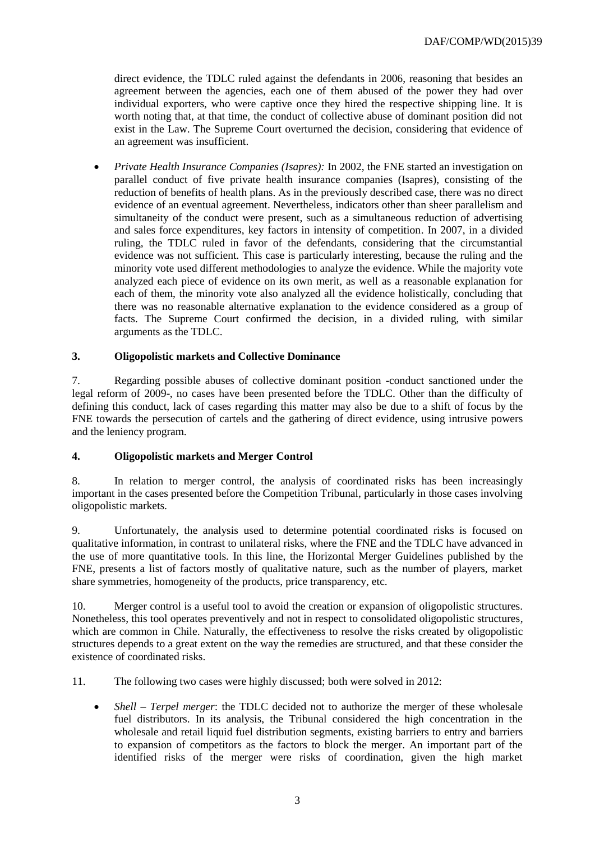direct evidence, the TDLC ruled against the defendants in 2006, reasoning that besides an agreement between the agencies, each one of them abused of the power they had over individual exporters, who were captive once they hired the respective shipping line. It is worth noting that, at that time, the conduct of collective abuse of dominant position did not exist in the Law. The Supreme Court overturned the decision, considering that evidence of an agreement was insufficient.

 *Private Health Insurance Companies (Isapres):* In 2002, the FNE started an investigation on parallel conduct of five private health insurance companies (Isapres), consisting of the reduction of benefits of health plans. As in the previously described case, there was no direct evidence of an eventual agreement. Nevertheless, indicators other than sheer parallelism and simultaneity of the conduct were present, such as a simultaneous reduction of advertising and sales force expenditures, key factors in intensity of competition. In 2007, in a divided ruling, the TDLC ruled in favor of the defendants, considering that the circumstantial evidence was not sufficient. This case is particularly interesting, because the ruling and the minority vote used different methodologies to analyze the evidence. While the majority vote analyzed each piece of evidence on its own merit, as well as a reasonable explanation for each of them, the minority vote also analyzed all the evidence holistically, concluding that there was no reasonable alternative explanation to the evidence considered as a group of facts. The Supreme Court confirmed the decision, in a divided ruling, with similar arguments as the TDLC.

## **3. Oligopolistic markets and Collective Dominance**

7. Regarding possible abuses of collective dominant position -conduct sanctioned under the legal reform of 2009-, no cases have been presented before the TDLC. Other than the difficulty of defining this conduct, lack of cases regarding this matter may also be due to a shift of focus by the FNE towards the persecution of cartels and the gathering of direct evidence, using intrusive powers and the leniency program.

## **4. Oligopolistic markets and Merger Control**

8. In relation to merger control, the analysis of coordinated risks has been increasingly important in the cases presented before the Competition Tribunal, particularly in those cases involving oligopolistic markets.

9. Unfortunately, the analysis used to determine potential coordinated risks is focused on qualitative information, in contrast to unilateral risks, where the FNE and the TDLC have advanced in the use of more quantitative tools. In this line, the Horizontal Merger Guidelines published by the FNE, presents a list of factors mostly of qualitative nature, such as the number of players, market share symmetries, homogeneity of the products, price transparency, etc.

10. Merger control is a useful tool to avoid the creation or expansion of oligopolistic structures. Nonetheless, this tool operates preventively and not in respect to consolidated oligopolistic structures, which are common in Chile. Naturally, the effectiveness to resolve the risks created by oligopolistic structures depends to a great extent on the way the remedies are structured, and that these consider the existence of coordinated risks.

11. The following two cases were highly discussed; both were solved in 2012:

 *Shell – Terpel merger*: the TDLC decided not to authorize the merger of these wholesale fuel distributors. In its analysis, the Tribunal considered the high concentration in the wholesale and retail liquid fuel distribution segments, existing barriers to entry and barriers to expansion of competitors as the factors to block the merger. An important part of the identified risks of the merger were risks of coordination, given the high market